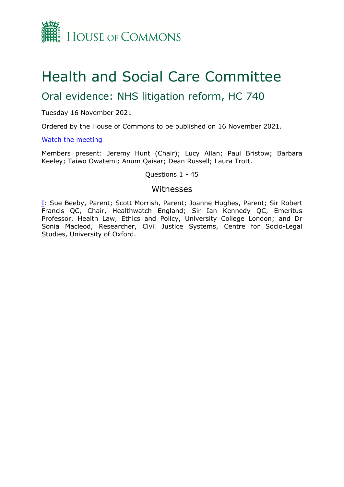

# Health and Social Care Committee

## Oral evidence: NHS litigation reform, HC 740

## Tuesday 16 November 2021

Ordered by the House of Commons to be published on 16 November 2021.

## [Watch](https://parliamentlive.tv/Event/Index/49852d83-b1bc-4f23-a79d-c0f4fc8271a4) [the](https://parliamentlive.tv/Event/Index/49852d83-b1bc-4f23-a79d-c0f4fc8271a4) [meeting](https://parliamentlive.tv/Event/Index/49852d83-b1bc-4f23-a79d-c0f4fc8271a4)

Members present: Jeremy Hunt (Chair); Lucy Allan; Paul Bristow; Barbara Keeley; Taiwo Owatemi; Anum Qaisar; Dean Russell; Laura Trott.

## Questions 1 - 45

## Witnesses

[I:](#page-1-0) Sue Beeby, Parent; Scott Morrish, Parent; Joanne Hughes, Parent; Sir Robert Francis QC, Chair, Healthwatch England; Sir Ian Kennedy QC, Emeritus Professor, Health Law, Ethics and Policy, University College London; and Dr Sonia Macleod, Researcher, Civil Justice Systems, Centre for Socio-Legal Studies, University of Oxford.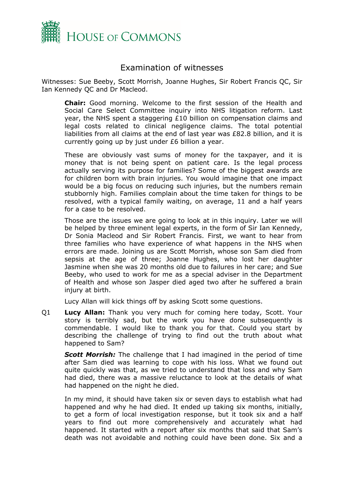

## <span id="page-1-0"></span>Examination of witnesses

Witnesses: Sue Beeby, Scott Morrish, Joanne Hughes, Sir Robert Francis QC, Sir Ian Kennedy QC and Dr Macleod.

**Chair:** Good morning. Welcome to the first session of the Health and Social Care Select Committee inquiry into NHS litigation reform. Last year, the NHS spent a staggering £10 billion on compensation claims and legal costs related to clinical negligence claims. The total potential liabilities from all claims at the end of last year was £82.8 billion, and it is currently going up by just under £6 billion a year.

These are obviously vast sums of money for the taxpayer, and it is money that is not being spent on patient care. Is the legal process actually serving its purpose for families? Some of the biggest awards are for children born with brain injuries. You would imagine that one impact would be a big focus on reducing such injuries, but the numbers remain stubbornly high. Families complain about the time taken for things to be resolved, with a typical family waiting, on average, 11 and a half years for a case to be resolved.

Those are the issues we are going to look at in this inquiry. Later we will be helped by three eminent legal experts, in the form of Sir Ian Kennedy, Dr Sonia Macleod and Sir Robert Francis. First, we want to hear from three families who have experience of what happens in the NHS when errors are made. Joining us are Scott Morrish, whose son Sam died from sepsis at the age of three; Joanne Hughes, who lost her daughter Jasmine when she was 20 months old due to failures in her care; and Sue Beeby, who used to work for me as a special adviser in the Department of Health and whose son Jasper died aged two after he suffered a brain injury at birth.

Lucy Allan will kick things off by asking Scott some questions.

Q1 **Lucy Allan:** Thank you very much for coming here today, Scott. Your story is terribly sad, but the work you have done subsequently is commendable. I would like to thank you for that. Could you start by describing the challenge of trying to find out the truth about what happened to Sam?

*Scott Morrish:* The challenge that I had imagined in the period of time after Sam died was learning to cope with his loss. What we found out quite quickly was that, as we tried to understand that loss and why Sam had died, there was a massive reluctance to look at the details of what had happened on the night he died.

In my mind, it should have taken six or seven days to establish what had happened and why he had died. It ended up taking six months, initially, to get a form of local investigation response, but it took six and a half years to find out more comprehensively and accurately what had happened. It started with a report after six months that said that Sam's death was not avoidable and nothing could have been done. Six and a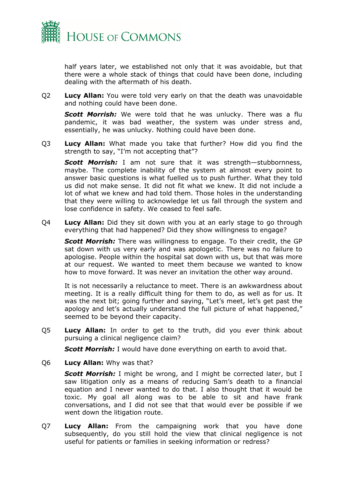

half years later, we established not only that it was avoidable, but that there were a whole stack of things that could have been done, including dealing with the aftermath of his death.

Q2 **Lucy Allan:** You were told very early on that the death was unavoidable and nothing could have been done.

*Scott Morrish:* We were told that he was unlucky. There was a flu pandemic, it was bad weather, the system was under stress and, essentially, he was unlucky. Nothing could have been done.

Q3 **Lucy Allan:** What made you take that further? How did you find the strength to say, "I'm not accepting that"?

*Scott Morrish:* I am not sure that it was strength—stubbornness, maybe. The complete inability of the system at almost every point to answer basic questions is what fuelled us to push further. What they told us did not make sense. It did not fit what we knew. It did not include a lot of what we knew and had told them. Those holes in the understanding that they were willing to acknowledge let us fall through the system and lose confidence in safety. We ceased to feel safe.

Q4 **Lucy Allan:** Did they sit down with you at an early stage to go through everything that had happened? Did they show willingness to engage?

*Scott Morrish:* There was willingness to engage. To their credit, the GP sat down with us very early and was apologetic. There was no failure to apologise. People within the hospital sat down with us, but that was more at our request. We wanted to meet them because we wanted to know how to move forward. It was never an invitation the other way around.

It is not necessarily a reluctance to meet. There is an awkwardness about meeting. It is a really difficult thing for them to do, as well as for us. It was the next bit; going further and saying, "Let's meet, let's get past the apology and let's actually understand the full picture of what happened," seemed to be beyond their capacity.

Q5 **Lucy Allan:** In order to get to the truth, did you ever think about pursuing a clinical negligence claim?

*Scott Morrish:* I would have done everything on earth to avoid that.

Q6 **Lucy Allan:** Why was that?

*Scott Morrish:* I might be wrong, and I might be corrected later, but I saw litigation only as a means of reducing Sam's death to a financial equation and I never wanted to do that. I also thought that it would be toxic. My goal all along was to be able to sit and have frank conversations, and I did not see that that would ever be possible if we went down the litigation route.

Q7 **Lucy Allan:** From the campaigning work that you have done subsequently, do you still hold the view that clinical negligence is not useful for patients or families in seeking information or redress?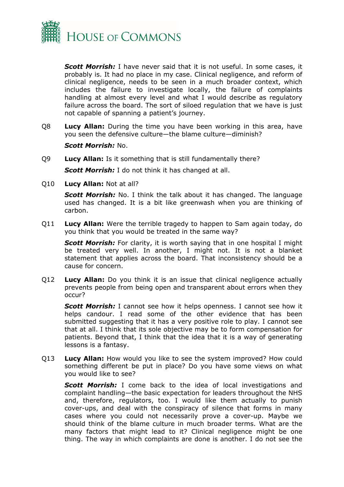

*Scott Morrish:* I have never said that it is not useful. In some cases, it probably is. It had no place in my case. Clinical negligence, and reform of clinical negligence, needs to be seen in a much broader context, which includes the failure to investigate locally, the failure of complaints handling at almost every level and what I would describe as regulatory failure across the board. The sort of siloed regulation that we have is just not capable of spanning a patient's journey.

Q8 **Lucy Allan:** During the time you have been working in this area, have you seen the defensive culture—the blame culture—diminish?

### *Scott Morrish:* No.

Q9 **Lucy Allan:** Is it something that is still fundamentally there?

*Scott Morrish:* I do not think it has changed at all.

Q10 **Lucy Allan:** Not at all?

*Scott Morrish:* No. I think the talk about it has changed. The language used has changed. It is a bit like greenwash when you are thinking of carbon.

Q11 **Lucy Allan:** Were the terrible tragedy to happen to Sam again today, do you think that you would be treated in the same way?

*Scott Morrish:* For clarity, it is worth saying that in one hospital I might be treated very well. In another, I might not. It is not a blanket statement that applies across the board. That inconsistency should be a cause for concern.

Q12 **Lucy Allan:** Do you think it is an issue that clinical negligence actually prevents people from being open and transparent about errors when they occur?

*Scott Morrish:* I cannot see how it helps openness. I cannot see how it helps candour. I read some of the other evidence that has been submitted suggesting that it has a very positive role to play. I cannot see that at all. I think that its sole objective may be to form compensation for patients. Beyond that, I think that the idea that it is a way of generating lessons is a fantasy.

Q13 **Lucy Allan:** How would you like to see the system improved? How could something different be put in place? Do you have some views on what you would like to see?

*Scott Morrish:* I come back to the idea of local investigations and complaint handling—the basic expectation for leaders throughout the NHS and, therefore, regulators, too. I would like them actually to punish cover-ups, and deal with the conspiracy of silence that forms in many cases where you could not necessarily prove a cover-up. Maybe we should think of the blame culture in much broader terms. What are the many factors that might lead to it? Clinical negligence might be one thing. The way in which complaints are done is another. I do not see the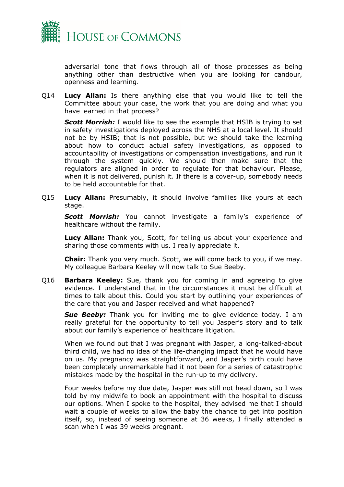

adversarial tone that flows through all of those processes as being anything other than destructive when you are looking for candour, openness and learning.

Q14 **Lucy Allan:** Is there anything else that you would like to tell the Committee about your case, the work that you are doing and what you have learned in that process?

*Scott Morrish:* I would like to see the example that HSIB is trying to set in safety investigations deployed across the NHS at a local level. It should not be by HSIB; that is not possible, but we should take the learning about how to conduct actual safety investigations, as opposed to accountability of investigations or compensation investigations, and run it through the system quickly. We should then make sure that the regulators are aligned in order to regulate for that behaviour. Please, when it is not delivered, punish it. If there is a cover-up, somebody needs to be held accountable for that.

Q15 **Lucy Allan:** Presumably, it should involve families like yours at each stage.

*Scott Morrish:* You cannot investigate a family's experience of healthcare without the family.

**Lucy Allan:** Thank you, Scott, for telling us about your experience and sharing those comments with us. I really appreciate it.

**Chair:** Thank you very much. Scott, we will come back to you, if we may. My colleague Barbara Keeley will now talk to Sue Beeby.

Q16 **Barbara Keeley:** Sue, thank you for coming in and agreeing to give evidence. I understand that in the circumstances it must be difficult at times to talk about this. Could you start by outlining your experiences of the care that you and Jasper received and what happened?

*Sue Beeby:* Thank you for inviting me to give evidence today. I am really grateful for the opportunity to tell you Jasper's story and to talk about our family's experience of healthcare litigation.

When we found out that I was pregnant with Jasper, a long-talked-about third child, we had no idea of the life-changing impact that he would have on us. My pregnancy was straightforward, and Jasper's birth could have been completely unremarkable had it not been for a series of catastrophic mistakes made by the hospital in the run-up to my delivery.

Four weeks before my due date, Jasper was still not head down, so I was told by my midwife to book an appointment with the hospital to discuss our options. When I spoke to the hospital, they advised me that I should wait a couple of weeks to allow the baby the chance to get into position itself, so, instead of seeing someone at 36 weeks, I finally attended a scan when I was 39 weeks pregnant.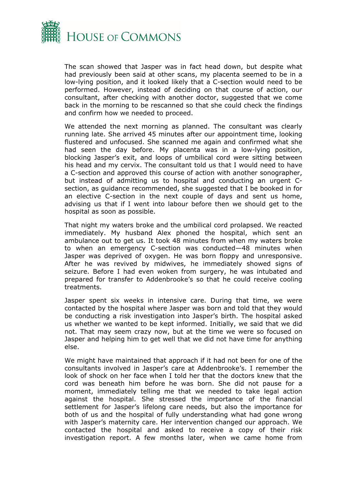

The scan showed that Jasper was in fact head down, but despite what had previously been said at other scans, my placenta seemed to be in a low-lying position, and it looked likely that a C-section would need to be performed. However, instead of deciding on that course of action, our consultant, after checking with another doctor, suggested that we come back in the morning to be rescanned so that she could check the findings and confirm how we needed to proceed.

We attended the next morning as planned. The consultant was clearly running late. She arrived 45 minutes after our appointment time, looking flustered and unfocused. She scanned me again and confirmed what she had seen the day before. My placenta was in a low-lying position, blocking Jasper's exit, and loops of umbilical cord were sitting between his head and my cervix. The consultant told us that I would need to have a C-section and approved this course of action with another sonographer, but instead of admitting us to hospital and conducting an urgent Csection, as guidance recommended, she suggested that I be booked in for an elective C-section in the next couple of days and sent us home, advising us that if I went into labour before then we should get to the hospital as soon as possible.

That night my waters broke and the umbilical cord prolapsed. We reacted immediately. My husband Alex phoned the hospital, which sent an ambulance out to get us. It took 48 minutes from when my waters broke to when an emergency C-section was conducted—48 minutes when Jasper was deprived of oxygen. He was born floppy and unresponsive. After he was revived by midwives, he immediately showed signs of seizure. Before I had even woken from surgery, he was intubated and prepared for transfer to Addenbrooke's so that he could receive cooling treatments.

Jasper spent six weeks in intensive care. During that time, we were contacted by the hospital where Jasper was born and told that they would be conducting a risk investigation into Jasper's birth. The hospital asked us whether we wanted to be kept informed. Initially, we said that we did not. That may seem crazy now, but at the time we were so focused on Jasper and helping him to get well that we did not have time for anything else.

We might have maintained that approach if it had not been for one of the consultants involved in Jasper's care at Addenbrooke's. I remember the look of shock on her face when I told her that the doctors knew that the cord was beneath him before he was born. She did not pause for a moment, immediately telling me that we needed to take legal action against the hospital. She stressed the importance of the financial settlement for Jasper's lifelong care needs, but also the importance for both of us and the hospital of fully understanding what had gone wrong with Jasper's maternity care. Her intervention changed our approach. We contacted the hospital and asked to receive a copy of their risk investigation report. A few months later, when we came home from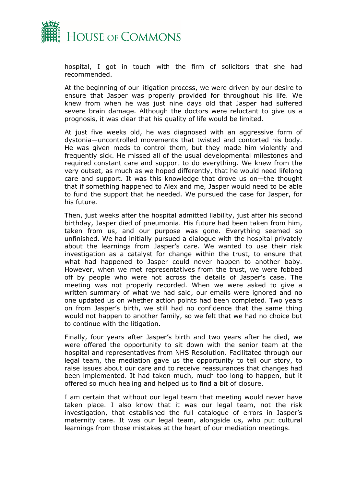

hospital, I got in touch with the firm of solicitors that she had recommended.

At the beginning of our litigation process, we were driven by our desire to ensure that Jasper was properly provided for throughout his life. We knew from when he was just nine days old that Jasper had suffered severe brain damage. Although the doctors were reluctant to give us a prognosis, it was clear that his quality of life would be limited.

At just five weeks old, he was diagnosed with an aggressive form of dystonia—uncontrolled movements that twisted and contorted his body. He was given meds to control them, but they made him violently and frequently sick. He missed all of the usual developmental milestones and required constant care and support to do everything. We knew from the very outset, as much as we hoped differently, that he would need lifelong care and support. It was this knowledge that drove us on—the thought that if something happened to Alex and me, Jasper would need to be able to fund the support that he needed. We pursued the case for Jasper, for his future.

Then, just weeks after the hospital admitted liability, just after his second birthday, Jasper died of pneumonia. His future had been taken from him, taken from us, and our purpose was gone. Everything seemed so unfinished. We had initially pursued a dialogue with the hospital privately about the learnings from Jasper's care. We wanted to use their risk investigation as a catalyst for change within the trust, to ensure that what had happened to Jasper could never happen to another baby. However, when we met representatives from the trust, we were fobbed off by people who were not across the details of Jasper's case. The meeting was not properly recorded. When we were asked to give a written summary of what we had said, our emails were ignored and no one updated us on whether action points had been completed. Two years on from Jasper's birth, we still had no confidence that the same thing would not happen to another family, so we felt that we had no choice but to continue with the litigation.

Finally, four years after Jasper's birth and two years after he died, we were offered the opportunity to sit down with the senior team at the hospital and representatives from NHS Resolution. Facilitated through our legal team, the mediation gave us the opportunity to tell our story, to raise issues about our care and to receive reassurances that changes had been implemented. It had taken much, much too long to happen, but it offered so much healing and helped us to find a bit of closure.

I am certain that without our legal team that meeting would never have taken place. I also know that it was our legal team, not the risk investigation, that established the full catalogue of errors in Jasper's maternity care. It was our legal team, alongside us, who put cultural learnings from those mistakes at the heart of our mediation meetings.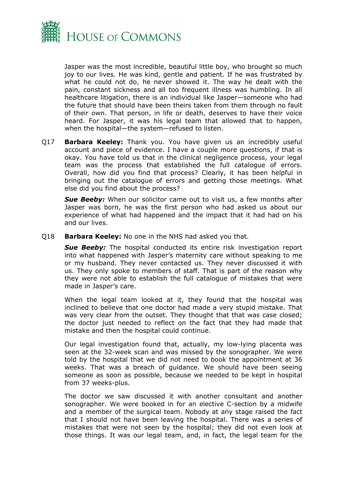

Jasper was the most incredible, beautiful little boy, who brought so much joy to our lives. He was kind, gentle and patient. If he was frustrated by what he could not do, he never showed it. The way he dealt with the pain, constant sickness and all too frequent illness was humbling. In all healthcare litigation, there is an individual like Jasper—someone who had the future that should have been theirs taken from them through no fault of their own. That person, in life or death, deserves to have their voice heard. For Jasper, it was his legal team that allowed that to happen, when the hospital—the system—refused to listen.

Q17 **Barbara Keeley:** Thank you. You have given us an incredibly useful account and piece of evidence. I have a couple more questions, if that is okay. You have told us that in the clinical negligence process, your legal team was the process that established the full catalogue of errors. Overall, how did you find that process? Clearly, it has been helpful in bringing out the catalogue of errors and getting those meetings. What else did you find about the process?

**Sue Beeby:** When our solicitor came out to visit us, a few months after Jasper was born, he was the first person who had asked us about our experience of what had happened and the impact that it had had on his and our lives.

Q18 **Barbara Keeley:** No one in the NHS had asked you that.

**Sue Beeby:** The hospital conducted its entire risk investigation report into what happened with Jasper's maternity care without speaking to me or my husband. They never contacted us. They never discussed it with us. They only spoke to members of staff. That is part of the reason why they were not able to establish the full catalogue of mistakes that were made in Jasper's care.

When the legal team looked at it, they found that the hospital was inclined to believe that one doctor had made a very stupid mistake. That was very clear from the outset. They thought that that was case closed; the doctor just needed to reflect on the fact that they had made that mistake and then the hospital could continue.

Our legal investigation found that, actually, my low-lying placenta was seen at the 32-week scan and was missed by the sonographer. We were told by the hospital that we did not need to book the appointment at 36 weeks. That was a breach of guidance. We should have been seeing someone as soon as possible, because we needed to be kept in hospital from 37 weeks-plus.

The doctor we saw discussed it with another consultant and another sonographer. We were booked in for an elective C-section by a midwife and a member of the surgical team. Nobody at any stage raised the fact that I should not have been leaving the hospital. There was a series of mistakes that were not seen by the hospital; they did not even look at those things. It was our legal team, and, in fact, the legal team for the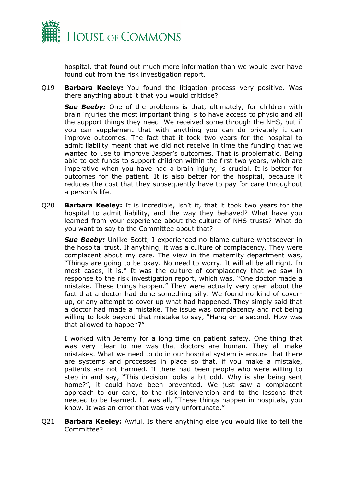

hospital, that found out much more information than we would ever have found out from the risk investigation report.

Q19 **Barbara Keeley:** You found the litigation process very positive. Was there anything about it that you would criticise?

**Sue Beeby:** One of the problems is that, ultimately, for children with brain injuries the most important thing is to have access to physio and all the support things they need. We received some through the NHS, but if you can supplement that with anything you can do privately it can improve outcomes. The fact that it took two years for the hospital to admit liability meant that we did not receive in time the funding that we wanted to use to improve Jasper's outcomes. That is problematic. Being able to get funds to support children within the first two years, which are imperative when you have had a brain injury, is crucial. It is better for outcomes for the patient. It is also better for the hospital, because it reduces the cost that they subsequently have to pay for care throughout a person's life.

Q20 **Barbara Keeley:** It is incredible, isn't it, that it took two years for the hospital to admit liability, and the way they behaved? What have you learned from your experience about the culture of NHS trusts? What do you want to say to the Committee about that?

**Sue Beeby:** Unlike Scott, I experienced no blame culture whatsoever in the hospital trust. If anything, it was a culture of complacency. They were complacent about my care. The view in the maternity department was, "Things are going to be okay. No need to worry. It will all be all right. In most cases, it is." It was the culture of complacency that we saw in response to the risk investigation report, which was, "One doctor made a mistake. These things happen." They were actually very open about the fact that a doctor had done something silly. We found no kind of coverup, or any attempt to cover up what had happened. They simply said that a doctor had made a mistake. The issue was complacency and not being willing to look beyond that mistake to say, "Hang on a second. How was that allowed to happen?"

I worked with Jeremy for a long time on patient safety. One thing that was very clear to me was that doctors are human. They all make mistakes. What we need to do in our hospital system is ensure that there are systems and processes in place so that, if you make a mistake, patients are not harmed. If there had been people who were willing to step in and say, "This decision looks a bit odd. Why is she being sent home?", it could have been prevented. We just saw a complacent approach to our care, to the risk intervention and to the lessons that needed to be learned. It was all, "These things happen in hospitals, you know. It was an error that was very unfortunate."

Q21 **Barbara Keeley:** Awful. Is there anything else you would like to tell the Committee?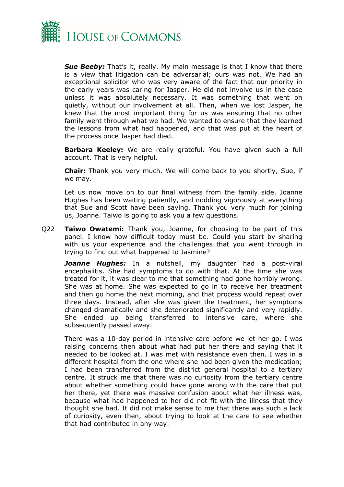

*Sue Beeby:* That's it, really. My main message is that I know that there is a view that litigation can be adversarial; ours was not. We had an exceptional solicitor who was very aware of the fact that our priority in the early years was caring for Jasper. He did not involve us in the case unless it was absolutely necessary. It was something that went on quietly, without our involvement at all. Then, when we lost Jasper, he knew that the most important thing for us was ensuring that no other family went through what we had. We wanted to ensure that they learned the lessons from what had happened, and that was put at the heart of the process once Jasper had died.

**Barbara Keeley:** We are really grateful. You have given such a full account. That is very helpful.

**Chair:** Thank you very much. We will come back to you shortly, Sue, if we may.

Let us now move on to our final witness from the family side. Joanne Hughes has been waiting patiently, and nodding vigorously at everything that Sue and Scott have been saying. Thank you very much for joining us, Joanne. Taiwo is going to ask you a few questions.

Q22 **Taiwo Owatemi:** Thank you, Joanne, for choosing to be part of this panel. I know how difficult today must be. Could you start by sharing with us your experience and the challenges that you went through in trying to find out what happened to Jasmine?

*Joanne Hughes:* In a nutshell, my daughter had a post-viral encephalitis. She had symptoms to do with that. At the time she was treated for it, it was clear to me that something had gone horribly wrong. She was at home. She was expected to go in to receive her treatment and then go home the next morning, and that process would repeat over three days. Instead, after she was given the treatment, her symptoms changed dramatically and she deteriorated significantly and very rapidly. She ended up being transferred to intensive care, where she subsequently passed away.

There was a 10-day period in intensive care before we let her go. I was raising concerns then about what had put her there and saying that it needed to be looked at. I was met with resistance even then. I was in a different hospital from the one where she had been given the medication; I had been transferred from the district general hospital to a tertiary centre. It struck me that there was no curiosity from the tertiary centre about whether something could have gone wrong with the care that put her there, yet there was massive confusion about what her illness was, because what had happened to her did not fit with the illness that they thought she had. It did not make sense to me that there was such a lack of curiosity, even then, about trying to look at the care to see whether that had contributed in any way.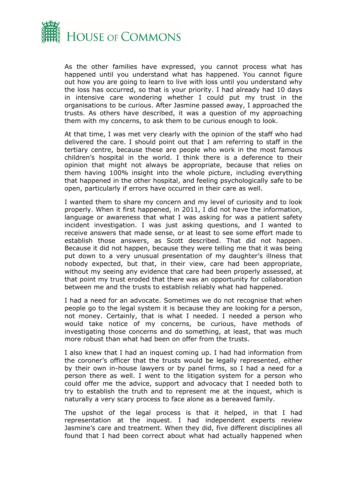

As the other families have expressed, you cannot process what has happened until you understand what has happened. You cannot figure out how you are going to learn to live with loss until you understand why the loss has occurred, so that is your priority. I had already had 10 days in intensive care wondering whether I could put my trust in the organisations to be curious. After Jasmine passed away, I approached the trusts. As others have described, it was a question of my approaching them with my concerns, to ask them to be curious enough to look.

At that time, I was met very clearly with the opinion of the staff who had delivered the care. I should point out that I am referring to staff in the tertiary centre, because these are people who work in the most famous children's hospital in the world. I think there is a deference to their opinion that might not always be appropriate, because that relies on them having 100% insight into the whole picture, including everything that happened in the other hospital, and feeling psychologically safe to be open, particularly if errors have occurred in their care as well.

I wanted them to share my concern and my level of curiosity and to look properly. When it first happened, in 2011, I did not have the information, language or awareness that what I was asking for was a patient safety incident investigation. I was just asking questions, and I wanted to receive answers that made sense, or at least to see some effort made to establish those answers, as Scott described. That did not happen. Because it did not happen, because they were telling me that it was being put down to a very unusual presentation of my daughter's illness that nobody expected, but that, in their view, care had been appropriate, without my seeing any evidence that care had been properly assessed, at that point my trust eroded that there was an opportunity for collaboration between me and the trusts to establish reliably what had happened.

I had a need for an advocate. Sometimes we do not recognise that when people go to the legal system it is because they are looking for a person, not money. Certainly, that is what I needed. I needed a person who would take notice of my concerns, be curious, have methods of investigating those concerns and do something, at least, that was much more robust than what had been on offer from the trusts.

I also knew that I had an inquest coming up. I had had information from the coroner's officer that the trusts would be legally represented, either by their own in-house lawyers or by panel firms, so I had a need for a person there as well. I went to the litigation system for a person who could offer me the advice, support and advocacy that I needed both to try to establish the truth and to represent me at the inquest, which is naturally a very scary process to face alone as a bereaved family.

The upshot of the legal process is that it helped, in that I had representation at the inquest. I had independent experts review Jasmine's care and treatment. When they did, five different disciplines all found that I had been correct about what had actually happened when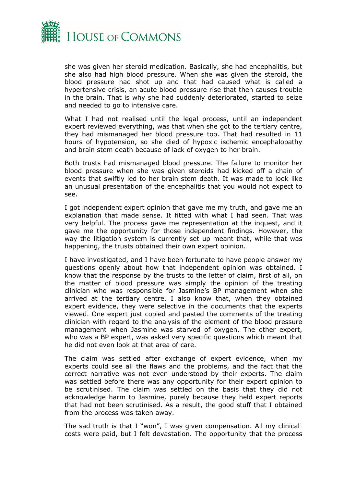

she was given her steroid medication. Basically, she had encephalitis, but she also had high blood pressure. When she was given the steroid, the blood pressure had shot up and that had caused what is called a hypertensive crisis, an acute blood pressure rise that then causes trouble in the brain. That is why she had suddenly deteriorated, started to seize and needed to go to intensive care.

What I had not realised until the legal process, until an independent expert reviewed everything, was that when she got to the tertiary centre, they had mismanaged her blood pressure too. That had resulted in 11 hours of hypotension, so she died of hypoxic ischemic encephalopathy and brain stem death because of lack of oxygen to her brain.

Both trusts had mismanaged blood pressure. The failure to monitor her blood pressure when she was given steroids had kicked off a chain of events that swiftly led to her brain stem death. It was made to look like an unusual presentation of the encephalitis that you would not expect to see.

I got independent expert opinion that gave me my truth, and gave me an explanation that made sense. It fitted with what I had seen. That was very helpful. The process gave me representation at the inquest, and it gave me the opportunity for those independent findings. However, the way the litigation system is currently set up meant that, while that was happening, the trusts obtained their own expert opinion.

I have investigated, and I have been fortunate to have people answer my questions openly about how that independent opinion was obtained. I know that the response by the trusts to the letter of claim, first of all, on the matter of blood pressure was simply the opinion of the treating clinician who was responsible for Jasmine's BP management when she arrived at the tertiary centre. I also know that, when they obtained expert evidence, they were selective in the documents that the experts viewed. One expert just copied and pasted the comments of the treating clinician with regard to the analysis of the element of the blood pressure management when Jasmine was starved of oxygen. The other expert, who was a BP expert, was asked very specific questions which meant that he did not even look at that area of care.

The claim was settled after exchange of expert evidence, when my experts could see all the flaws and the problems, and the fact that the correct narrative was not even understood by their experts. The claim was settled before there was any opportunity for their expert opinion to be scrutinised. The claim was settled on the basis that they did not acknowledge harm to Jasmine, purely because they held expert reports that had not been scrutinised. As a result, the good stuff that I obtained from the process was taken away.

The sad truth is that I "won", I was given compensation. All my clinical<sup>1</sup> costs were paid, but I felt devastation. The opportunity that the process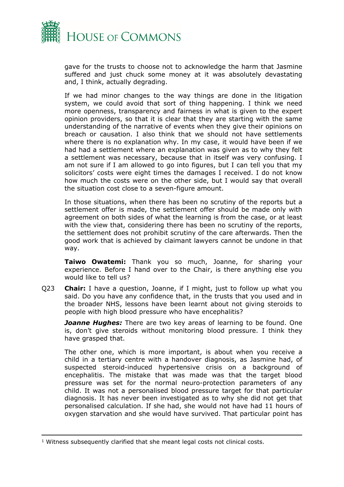

gave for the trusts to choose not to acknowledge the harm that Jasmine suffered and just chuck some money at it was absolutely devastating and, I think, actually degrading.

If we had minor changes to the way things are done in the litigation system, we could avoid that sort of thing happening. I think we need more openness, transparency and fairness in what is given to the expert opinion providers, so that it is clear that they are starting with the same understanding of the narrative of events when they give their opinions on breach or causation. I also think that we should not have settlements where there is no explanation why. In my case, it would have been if we had had a settlement where an explanation was given as to why they felt a settlement was necessary, because that in itself was very confusing. I am not sure if I am allowed to go into figures, but I can tell you that my solicitors' costs were eight times the damages I received. I do not know how much the costs were on the other side, but I would say that overall the situation cost close to a seven-figure amount.

In those situations, when there has been no scrutiny of the reports but a settlement offer is made, the settlement offer should be made only with agreement on both sides of what the learning is from the case, or at least with the view that, considering there has been no scrutiny of the reports, the settlement does not prohibit scrutiny of the care afterwards. Then the good work that is achieved by claimant lawyers cannot be undone in that way.

**Taiwo Owatemi:** Thank you so much, Joanne, for sharing your experience. Before I hand over to the Chair, is there anything else you would like to tell us?

Q23 **Chair:** I have a question, Joanne, if I might, just to follow up what you said. Do you have any confidence that, in the trusts that you used and in the broader NHS, lessons have been learnt about not giving steroids to people with high blood pressure who have encephalitis?

*Joanne Hughes:* There are two key areas of learning to be found. One is, don't give steroids without monitoring blood pressure. I think they have grasped that.

The other one, which is more important, is about when you receive a child in a tertiary centre with a handover diagnosis, as Jasmine had, of suspected steroid-induced hypertensive crisis on a background of encephalitis. The mistake that was made was that the target blood pressure was set for the normal neuro-protection parameters of any child. It was not a personalised blood pressure target for that particular diagnosis. It has never been investigated as to why she did not get that personalised calculation. If she had, she would not have had 11 hours of oxygen starvation and she would have survived. That particular point has

<sup>1</sup> Witness subsequently clarified that she meant legal costs not clinical costs.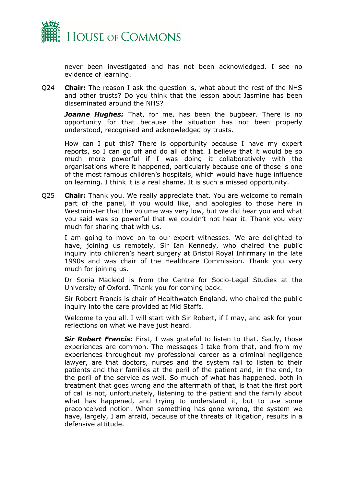

never been investigated and has not been acknowledged. I see no evidence of learning.

Q24 **Chair:** The reason I ask the question is, what about the rest of the NHS and other trusts? Do you think that the lesson about Jasmine has been disseminated around the NHS?

*Joanne Hughes:* That, for me, has been the bugbear. There is no opportunity for that because the situation has not been properly understood, recognised and acknowledged by trusts.

How can I put this? There is opportunity because I have my expert reports, so I can go off and do all of that. I believe that it would be so much more powerful if I was doing it collaboratively with the organisations where it happened, particularly because one of those is one of the most famous children's hospitals, which would have huge influence on learning. I think it is a real shame. It is such a missed opportunity.

Q25 **Chair:** Thank you. We really appreciate that. You are welcome to remain part of the panel, if you would like, and apologies to those here in Westminster that the volume was very low, but we did hear you and what you said was so powerful that we couldn't not hear it. Thank you very much for sharing that with us.

I am going to move on to our expert witnesses. We are delighted to have, joining us remotely, Sir Ian Kennedy, who chaired the public inquiry into children's heart surgery at Bristol Royal Infirmary in the late 1990s and was chair of the Healthcare Commission. Thank you very much for joining us.

Dr Sonia Macleod is from the Centre for Socio-Legal Studies at the University of Oxford. Thank you for coming back.

Sir Robert Francis is chair of Healthwatch England, who chaired the public inquiry into the care provided at Mid Staffs.

Welcome to you all. I will start with Sir Robert, if I may, and ask for your reflections on what we have just heard.

**Sir Robert Francis:** First, I was grateful to listen to that. Sadly, those experiences are common. The messages I take from that, and from my experiences throughout my professional career as a criminal negligence lawyer, are that doctors, nurses and the system fail to listen to their patients and their families at the peril of the patient and, in the end, to the peril of the service as well. So much of what has happened, both in treatment that goes wrong and the aftermath of that, is that the first port of call is not, unfortunately, listening to the patient and the family about what has happened, and trying to understand it, but to use some preconceived notion. When something has gone wrong, the system we have, largely, I am afraid, because of the threats of litigation, results in a defensive attitude.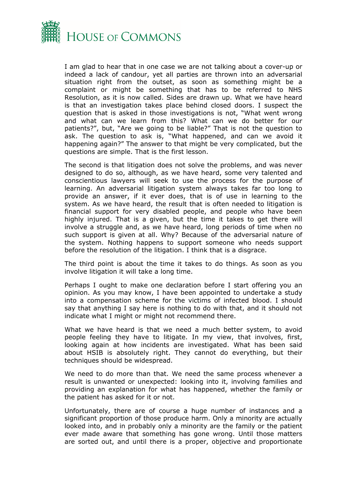

I am glad to hear that in one case we are not talking about a cover-up or indeed a lack of candour, yet all parties are thrown into an adversarial situation right from the outset, as soon as something might be a complaint or might be something that has to be referred to NHS Resolution, as it is now called. Sides are drawn up. What we have heard is that an investigation takes place behind closed doors. I suspect the question that is asked in those investigations is not, "What went wrong and what can we learn from this? What can we do better for our patients?", but, "Are we going to be liable?" That is not the question to ask. The question to ask is, "What happened, and can we avoid it happening again?" The answer to that might be very complicated, but the questions are simple. That is the first lesson.

The second is that litigation does not solve the problems, and was never designed to do so, although, as we have heard, some very talented and conscientious lawyers will seek to use the process for the purpose of learning. An adversarial litigation system always takes far too long to provide an answer, if it ever does, that is of use in learning to the system. As we have heard, the result that is often needed to litigation is financial support for very disabled people, and people who have been highly injured. That is a given, but the time it takes to get there will involve a struggle and, as we have heard, long periods of time when no such support is given at all. Why? Because of the adversarial nature of the system. Nothing happens to support someone who needs support before the resolution of the litigation. I think that is a disgrace.

The third point is about the time it takes to do things. As soon as you involve litigation it will take a long time.

Perhaps I ought to make one declaration before I start offering you an opinion. As you may know, I have been appointed to undertake a study into a compensation scheme for the victims of infected blood. I should say that anything I say here is nothing to do with that, and it should not indicate what I might or might not recommend there.

What we have heard is that we need a much better system, to avoid people feeling they have to litigate. In my view, that involves, first, looking again at how incidents are investigated. What has been said about HSIB is absolutely right. They cannot do everything, but their techniques should be widespread.

We need to do more than that. We need the same process whenever a result is unwanted or unexpected: looking into it, involving families and providing an explanation for what has happened, whether the family or the patient has asked for it or not.

Unfortunately, there are of course a huge number of instances and a significant proportion of those produce harm. Only a minority are actually looked into, and in probably only a minority are the family or the patient ever made aware that something has gone wrong. Until those matters are sorted out, and until there is a proper, objective and proportionate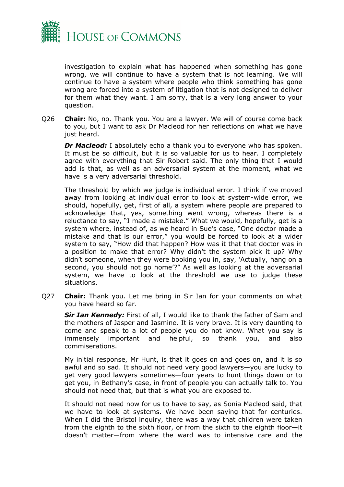

investigation to explain what has happened when something has gone wrong, we will continue to have a system that is not learning. We will continue to have a system where people who think something has gone wrong are forced into a system of litigation that is not designed to deliver for them what they want. I am sorry, that is a very long answer to your question.

Q26 **Chair:** No, no. Thank you. You are a lawyer. We will of course come back to you, but I want to ask Dr Macleod for her reflections on what we have just heard.

*Dr Macleod:* I absolutely echo a thank you to everyone who has spoken. It must be so difficult, but it is so valuable for us to hear. I completely agree with everything that Sir Robert said. The only thing that I would add is that, as well as an adversarial system at the moment, what we have is a very adversarial threshold.

The threshold by which we judge is individual error. I think if we moved away from looking at individual error to look at system-wide error, we should, hopefully, get, first of all, a system where people are prepared to acknowledge that, yes, something went wrong, whereas there is a reluctance to say, "I made a mistake." What we would, hopefully, get is a system where, instead of, as we heard in Sue's case, "One doctor made a mistake and that is our error," you would be forced to look at a wider system to say, "How did that happen? How was it that that doctor was in a position to make that error? Why didn't the system pick it up? Why didn't someone, when they were booking you in, say, 'Actually, hang on a second, you should not go home'?" As well as looking at the adversarial system, we have to look at the threshold we use to judge these situations.

Q27 **Chair:** Thank you. Let me bring in Sir Ian for your comments on what you have heard so far.

*Sir Ian Kennedy:* First of all, I would like to thank the father of Sam and the mothers of Jasper and Jasmine. It is very brave. It is very daunting to come and speak to a lot of people you do not know. What you say is immensely important and helpful, so thank you, and also commiserations.

My initial response, Mr Hunt, is that it goes on and goes on, and it is so awful and so sad. It should not need very good lawyers—you are lucky to get very good lawyers sometimes—four years to hunt things down or to get you, in Bethany's case, in front of people you can actually talk to. You should not need that, but that is what you are exposed to.

It should not need now for us to have to say, as Sonia Macleod said, that we have to look at systems. We have been saying that for centuries. When I did the Bristol inquiry, there was a way that children were taken from the eighth to the sixth floor, or from the sixth to the eighth floor—it doesn't matter—from where the ward was to intensive care and the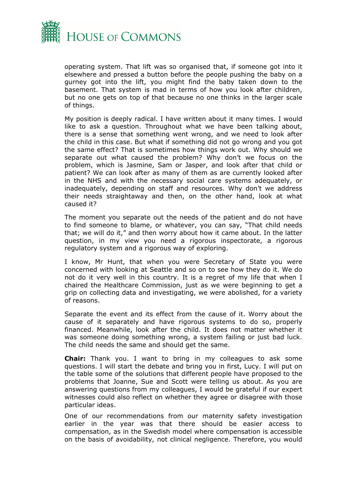

operating system. That lift was so organised that, if someone got into it elsewhere and pressed a button before the people pushing the baby on a gurney got into the lift, you might find the baby taken down to the basement. That system is mad in terms of how you look after children, but no one gets on top of that because no one thinks in the larger scale of things.

My position is deeply radical. I have written about it many times. I would like to ask a question. Throughout what we have been talking about, there is a sense that something went wrong, and we need to look after the child in this case. But what if something did not go wrong and you got the same effect? That is sometimes how things work out. Why should we separate out what caused the problem? Why don't we focus on the problem, which is Jasmine, Sam or Jasper, and look after that child or patient? We can look after as many of them as are currently looked after in the NHS and with the necessary social care systems adequately, or inadequately, depending on staff and resources. Why don't we address their needs straightaway and then, on the other hand, look at what caused it?

The moment you separate out the needs of the patient and do not have to find someone to blame, or whatever, you can say, "That child needs that; we will do it," and then worry about how it came about. In the latter question, in my view you need a rigorous inspectorate, a rigorous regulatory system and a rigorous way of exploring.

I know, Mr Hunt, that when you were Secretary of State you were concerned with looking at Seattle and so on to see how they do it. We do not do it very well in this country. It is a regret of my life that when I chaired the Healthcare Commission, just as we were beginning to get a grip on collecting data and investigating, we were abolished, for a variety of reasons.

Separate the event and its effect from the cause of it. Worry about the cause of it separately and have rigorous systems to do so, properly financed. Meanwhile, look after the child. It does not matter whether it was someone doing something wrong, a system failing or just bad luck. The child needs the same and should get the same.

**Chair:** Thank you. I want to bring in my colleagues to ask some questions. I will start the debate and bring you in first, Lucy. I will put on the table some of the solutions that different people have proposed to the problems that Joanne, Sue and Scott were telling us about. As you are answering questions from my colleagues, I would be grateful if our expert witnesses could also reflect on whether they agree or disagree with those particular ideas.

One of our recommendations from our maternity safety investigation earlier in the year was that there should be easier access to compensation, as in the Swedish model where compensation is accessible on the basis of avoidability, not clinical negligence. Therefore, you would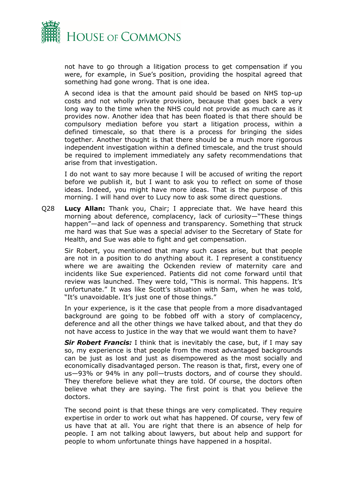

not have to go through a litigation process to get compensation if you were, for example, in Sue's position, providing the hospital agreed that something had gone wrong. That is one idea.

A second idea is that the amount paid should be based on NHS top-up costs and not wholly private provision, because that goes back a very long way to the time when the NHS could not provide as much care as it provides now. Another idea that has been floated is that there should be compulsory mediation before you start a litigation process, within a defined timescale, so that there is a process for bringing the sides together. Another thought is that there should be a much more rigorous independent investigation within a defined timescale, and the trust should be required to implement immediately any safety recommendations that arise from that investigation.

I do not want to say more because I will be accused of writing the report before we publish it, but I want to ask you to reflect on some of those ideas. Indeed, you might have more ideas. That is the purpose of this morning. I will hand over to Lucy now to ask some direct questions.

Q28 **Lucy Allan:** Thank you, Chair; I appreciate that. We have heard this morning about deference, complacency, lack of curiosity—"These things happen"—and lack of openness and transparency. Something that struck me hard was that Sue was a special adviser to the Secretary of State for Health, and Sue was able to fight and get compensation.

Sir Robert, you mentioned that many such cases arise, but that people are not in a position to do anything about it. I represent a constituency where we are awaiting the Ockenden review of maternity care and incidents like Sue experienced. Patients did not come forward until that review was launched. They were told, "This is normal. This happens. It's unfortunate." It was like Scott's situation with Sam, when he was told, "It's unavoidable. It's just one of those things."

In your experience, is it the case that people from a more disadvantaged background are going to be fobbed off with a story of complacency, deference and all the other things we have talked about, and that they do not have access to justice in the way that we would want them to have?

*Sir Robert Francis:* I think that is inevitably the case, but, if I may say so, my experience is that people from the most advantaged backgrounds can be just as lost and just as disempowered as the most socially and economically disadvantaged person. The reason is that, first, every one of us—93% or 94% in any poll—trusts doctors, and of course they should. They therefore believe what they are told. Of course, the doctors often believe what they are saying. The first point is that you believe the doctors.

The second point is that these things are very complicated. They require expertise in order to work out what has happened. Of course, very few of us have that at all. You are right that there is an absence of help for people. I am not talking about lawyers, but about help and support for people to whom unfortunate things have happened in a hospital.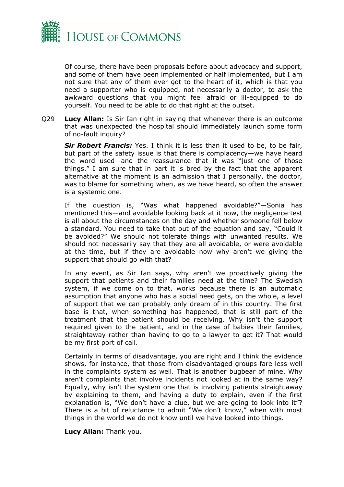

Of course, there have been proposals before about advocacy and support, and some of them have been implemented or half implemented, but I am not sure that any of them ever got to the heart of it, which is that you need a supporter who is equipped, not necessarily a doctor, to ask the awkward questions that you might feel afraid or ill-equipped to do yourself. You need to be able to do that right at the outset.

Q29 **Lucy Allan:** Is Sir Ian right in saying that whenever there is an outcome that was unexpected the hospital should immediately launch some form of no-fault inquiry?

*Sir Robert Francis:* Yes. I think it is less than it used to be, to be fair, but part of the safety issue is that there is complacency—we have heard the word used—and the reassurance that it was "just one of those things." I am sure that in part it is bred by the fact that the apparent alternative at the moment is an admission that I personally, the doctor, was to blame for something when, as we have heard, so often the answer is a systemic one.

If the question is, "Was what happened avoidable?"—Sonia has mentioned this—and avoidable looking back at it now, the negligence test is all about the circumstances on the day and whether someone fell below a standard. You need to take that out of the equation and say, "Could it be avoided?" We should not tolerate things with unwanted results. We should not necessarily say that they are all avoidable, or were avoidable at the time, but if they are avoidable now why aren't we giving the support that should go with that?

In any event, as Sir Ian says, why aren't we proactively giving the support that patients and their families need at the time? The Swedish system, if we come on to that, works because there is an automatic assumption that anyone who has a social need gets, on the whole, a level of support that we can probably only dream of in this country. The first base is that, when something has happened, that is still part of the treatment that the patient should be receiving. Why isn't the support required given to the patient, and in the case of babies their families, straightaway rather than having to go to a lawyer to get it? That would be my first port of call.

Certainly in terms of disadvantage, you are right and I think the evidence shows, for instance, that those from disadvantaged groups fare less well in the complaints system as well. That is another bugbear of mine. Why aren't complaints that involve incidents not looked at in the same way? Equally, why isn't the system one that is involving patients straightaway by explaining to them, and having a duty to explain, even if the first explanation is, "We don't have a clue, but we are going to look into it"? There is a bit of reluctance to admit "We don't know," when with most things in the world we do not know until we have looked into things.

**Lucy Allan:** Thank you.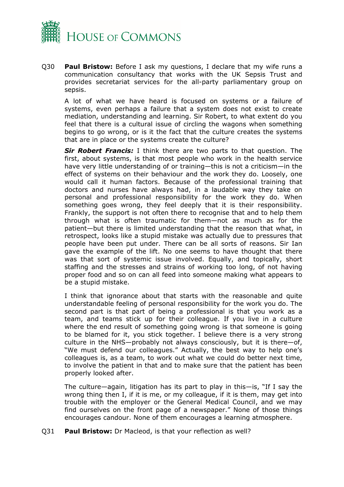

Q30 **Paul Bristow:** Before I ask my questions, I declare that my wife runs a communication consultancy that works with the UK Sepsis Trust and provides secretariat services for the all-party parliamentary group on sepsis.

A lot of what we have heard is focused on systems or a failure of systems, even perhaps a failure that a system does not exist to create mediation, understanding and learning. Sir Robert, to what extent do you feel that there is a cultural issue of circling the wagons when something begins to go wrong, or is it the fact that the culture creates the systems that are in place or the systems create the culture?

*Sir Robert Francis:* I think there are two parts to that question. The first, about systems, is that most people who work in the health service have very little understanding of or training—this is not a criticism—in the effect of systems on their behaviour and the work they do. Loosely, one would call it human factors. Because of the professional training that doctors and nurses have always had, in a laudable way they take on personal and professional responsibility for the work they do. When something goes wrong, they feel deeply that it is their responsibility. Frankly, the support is not often there to recognise that and to help them through what is often traumatic for them—not as much as for the patient—but there is limited understanding that the reason that what, in retrospect, looks like a stupid mistake was actually due to pressures that people have been put under. There can be all sorts of reasons. Sir Ian gave the example of the lift. No one seems to have thought that there was that sort of systemic issue involved. Equally, and topically, short staffing and the stresses and strains of working too long, of not having proper food and so on can all feed into someone making what appears to be a stupid mistake.

I think that ignorance about that starts with the reasonable and quite understandable feeling of personal responsibility for the work you do. The second part is that part of being a professional is that you work as a team, and teams stick up for their colleague. If you live in a culture where the end result of something going wrong is that someone is going to be blamed for it, you stick together. I believe there is a very strong culture in the NHS—probably not always consciously, but it is there—of, "We must defend our colleagues." Actually, the best way to help one's colleagues is, as a team, to work out what we could do better next time, to involve the patient in that and to make sure that the patient has been properly looked after.

The culture—again, litigation has its part to play in this—is, "If I say the wrong thing then I, if it is me, or my colleague, if it is them, may get into trouble with the employer or the General Medical Council, and we may find ourselves on the front page of a newspaper." None of those things encourages candour. None of them encourages a learning atmosphere.

Q31 **Paul Bristow:** Dr Macleod, is that your reflection as well?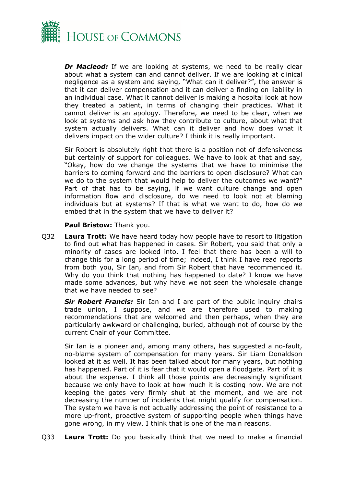

*Dr Macleod:* If we are looking at systems, we need to be really clear about what a system can and cannot deliver. If we are looking at clinical negligence as a system and saying, "What can it deliver?", the answer is that it can deliver compensation and it can deliver a finding on liability in an individual case. What it cannot deliver is making a hospital look at how they treated a patient, in terms of changing their practices. What it cannot deliver is an apology. Therefore, we need to be clear, when we look at systems and ask how they contribute to culture, about what that system actually delivers. What can it deliver and how does what it delivers impact on the wider culture? I think it is really important.

Sir Robert is absolutely right that there is a position not of defensiveness but certainly of support for colleagues. We have to look at that and say, "Okay, how do we change the systems that we have to minimise the barriers to coming forward and the barriers to open disclosure? What can we do to the system that would help to deliver the outcomes we want?" Part of that has to be saying, if we want culture change and open information flow and disclosure, do we need to look not at blaming individuals but at systems? If that is what we want to do, how do we embed that in the system that we have to deliver it?

**Paul Bristow:** Thank you.

Q32 **Laura Trott:** We have heard today how people have to resort to litigation to find out what has happened in cases. Sir Robert, you said that only a minority of cases are looked into. I feel that there has been a will to change this for a long period of time; indeed, I think I have read reports from both you, Sir Ian, and from Sir Robert that have recommended it. Why do you think that nothing has happened to date? I know we have made some advances, but why have we not seen the wholesale change that we have needed to see?

*Sir Robert Francis:* Sir Ian and I are part of the public inquiry chairs trade union, I suppose, and we are therefore used to making recommendations that are welcomed and then perhaps, when they are particularly awkward or challenging, buried, although not of course by the current Chair of your Committee.

Sir Ian is a pioneer and, among many others, has suggested a no-fault, no-blame system of compensation for many years. Sir Liam Donaldson looked at it as well. It has been talked about for many years, but nothing has happened. Part of it is fear that it would open a floodgate. Part of it is about the expense. I think all those points are decreasingly significant because we only have to look at how much it is costing now. We are not keeping the gates very firmly shut at the moment, and we are not decreasing the number of incidents that might qualify for compensation. The system we have is not actually addressing the point of resistance to a more up-front, proactive system of supporting people when things have gone wrong, in my view. I think that is one of the main reasons.

Q33 **Laura Trott:** Do you basically think that we need to make a financial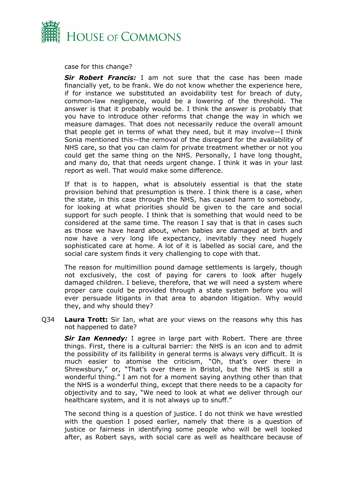

case for this change?

*Sir Robert Francis:* I am not sure that the case has been made financially yet, to be frank. We do not know whether the experience here, if for instance we substituted an avoidability test for breach of duty, common-law negligence, would be a lowering of the threshold. The answer is that it probably would be. I think the answer is probably that you have to introduce other reforms that change the way in which we measure damages. That does not necessarily reduce the overall amount that people get in terms of what they need, but it may involve—I think Sonia mentioned this—the removal of the disregard for the availability of NHS care, so that you can claim for private treatment whether or not you could get the same thing on the NHS. Personally, I have long thought, and many do, that that needs urgent change. I think it was in your last report as well. That would make some difference.

If that is to happen, what is absolutely essential is that the state provision behind that presumption is there. I think there is a case, when the state, in this case through the NHS, has caused harm to somebody, for looking at what priorities should be given to the care and social support for such people. I think that is something that would need to be considered at the same time. The reason I say that is that in cases such as those we have heard about, when babies are damaged at birth and now have a very long life expectancy, inevitably they need hugely sophisticated care at home. A lot of it is labelled as social care, and the social care system finds it very challenging to cope with that.

The reason for multimillion pound damage settlements is largely, though not exclusively, the cost of paying for carers to look after hugely damaged children. I believe, therefore, that we will need a system where proper care could be provided through a state system before you will ever persuade litigants in that area to abandon litigation. Why would they, and why should they?

Q34 **Laura Trott:** Sir Ian, what are your views on the reasons why this has not happened to date?

*Sir Ian Kennedy:* I agree in large part with Robert. There are three things. First, there is a cultural barrier: the NHS is an icon and to admit the possibility of its fallibility in general terms is always very difficult. It is much easier to atomise the criticism, "Oh, that's over there in Shrewsbury," or, "That's over there in Bristol, but the NHS is still a wonderful thing." I am not for a moment saying anything other than that the NHS is a wonderful thing, except that there needs to be a capacity for objectivity and to say, "We need to look at what we deliver through our healthcare system, and it is not always up to snuff."

The second thing is a question of justice. I do not think we have wrestled with the question I posed earlier, namely that there is a question of justice or fairness in identifying some people who will be well looked after, as Robert says, with social care as well as healthcare because of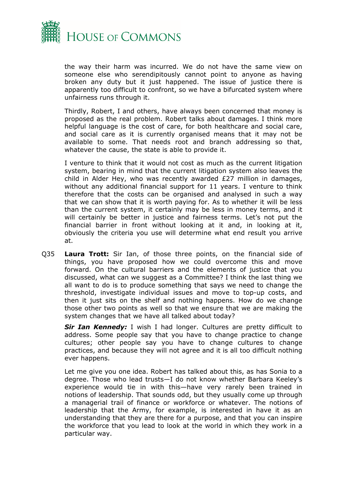

the way their harm was incurred. We do not have the same view on someone else who serendipitously cannot point to anyone as having broken any duty but it just happened. The issue of justice there is apparently too difficult to confront, so we have a bifurcated system where unfairness runs through it.

Thirdly, Robert, I and others, have always been concerned that money is proposed as the real problem. Robert talks about damages. I think more helpful language is the cost of care, for both healthcare and social care, and social care as it is currently organised means that it may not be available to some. That needs root and branch addressing so that, whatever the cause, the state is able to provide it.

I venture to think that it would not cost as much as the current litigation system, bearing in mind that the current litigation system also leaves the child in Alder Hey, who was recently awarded £27 million in damages, without any additional financial support for 11 years. I venture to think therefore that the costs can be organised and analysed in such a way that we can show that it is worth paying for. As to whether it will be less than the current system, it certainly may be less in money terms, and it will certainly be better in justice and fairness terms. Let's not put the financial barrier in front without looking at it and, in looking at it, obviously the criteria you use will determine what end result you arrive at.

Q35 **Laura Trott:** Sir Ian, of those three points, on the financial side of things, you have proposed how we could overcome this and move forward. On the cultural barriers and the elements of justice that you discussed, what can we suggest as a Committee? I think the last thing we all want to do is to produce something that says we need to change the threshold, investigate individual issues and move to top-up costs, and then it just sits on the shelf and nothing happens. How do we change those other two points as well so that we ensure that we are making the system changes that we have all talked about today?

*Sir Ian Kennedy:* I wish I had longer. Cultures are pretty difficult to address. Some people say that you have to change practice to change cultures; other people say you have to change cultures to change practices, and because they will not agree and it is all too difficult nothing ever happens.

Let me give you one idea. Robert has talked about this, as has Sonia to a degree. Those who lead trusts—I do not know whether Barbara Keeley's experience would tie in with this—have very rarely been trained in notions of leadership. That sounds odd, but they usually come up through a managerial trail of finance or workforce or whatever. The notions of leadership that the Army, for example, is interested in have it as an understanding that they are there for a purpose, and that you can inspire the workforce that you lead to look at the world in which they work in a particular way.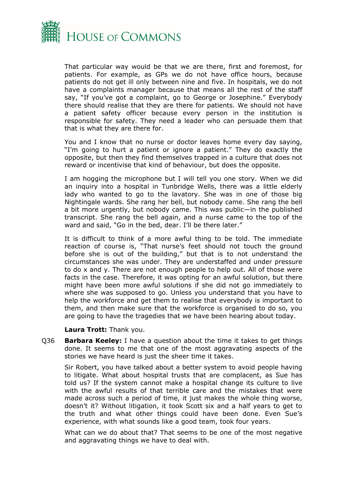

That particular way would be that we are there, first and foremost, for patients. For example, as GPs we do not have office hours, because patients do not get ill only between nine and five. In hospitals, we do not have a complaints manager because that means all the rest of the staff say, "If you've got a complaint, go to George or Josephine." Everybody there should realise that they are there for patients. We should not have a patient safety officer because every person in the institution is responsible for safety. They need a leader who can persuade them that that is what they are there for.

You and I know that no nurse or doctor leaves home every day saying, "I'm going to hurt a patient or ignore a patient." They do exactly the opposite, but then they find themselves trapped in a culture that does not reward or incentivise that kind of behaviour, but does the opposite.

I am hogging the microphone but I will tell you one story. When we did an inquiry into a hospital in Tunbridge Wells, there was a little elderly lady who wanted to go to the lavatory. She was in one of those big Nightingale wards. She rang her bell, but nobody came. She rang the bell a bit more urgently, but nobody came. This was public—in the published transcript. She rang the bell again, and a nurse came to the top of the ward and said, "Go in the bed, dear. I'll be there later."

It is difficult to think of a more awful thing to be told. The immediate reaction of course is, "That nurse's feet should not touch the ground before she is out of the building," but that is to not understand the circumstances she was under. They are understaffed and under pressure to do x and y. There are not enough people to help out. All of those were facts in the case. Therefore, it was opting for an awful solution, but there might have been more awful solutions if she did not go immediately to where she was supposed to go. Unless you understand that you have to help the workforce and get them to realise that everybody is important to them, and then make sure that the workforce is organised to do so, you are going to have the tragedies that we have been hearing about today.

#### **Laura Trott:** Thank you.

Q36 **Barbara Keeley:** I have a question about the time it takes to get things done. It seems to me that one of the most aggravating aspects of the stories we have heard is just the sheer time it takes.

Sir Robert, you have talked about a better system to avoid people having to litigate. What about hospital trusts that are complacent, as Sue has told us? If the system cannot make a hospital change its culture to live with the awful results of that terrible care and the mistakes that were made across such a period of time, it just makes the whole thing worse, doesn't it? Without litigation, it took Scott six and a half years to get to the truth and what other things could have been done. Even Sue's experience, with what sounds like a good team, took four years.

What can we do about that? That seems to be one of the most negative and aggravating things we have to deal with.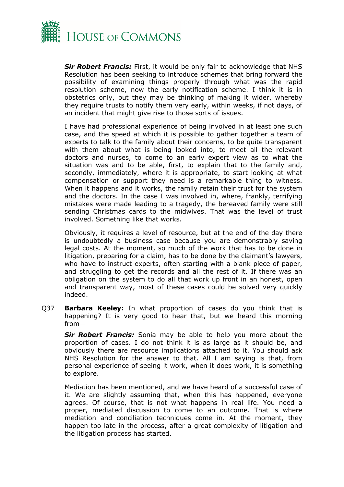

*Sir Robert Francis:* First, it would be only fair to acknowledge that NHS Resolution has been seeking to introduce schemes that bring forward the possibility of examining things properly through what was the rapid resolution scheme, now the early notification scheme. I think it is in obstetrics only, but they may be thinking of making it wider, whereby they require trusts to notify them very early, within weeks, if not days, of an incident that might give rise to those sorts of issues.

I have had professional experience of being involved in at least one such case, and the speed at which it is possible to gather together a team of experts to talk to the family about their concerns, to be quite transparent with them about what is being looked into, to meet all the relevant doctors and nurses, to come to an early expert view as to what the situation was and to be able, first, to explain that to the family and, secondly, immediately, where it is appropriate, to start looking at what compensation or support they need is a remarkable thing to witness. When it happens and it works, the family retain their trust for the system and the doctors. In the case I was involved in, where, frankly, terrifying mistakes were made leading to a tragedy, the bereaved family were still sending Christmas cards to the midwives. That was the level of trust involved. Something like that works.

Obviously, it requires a level of resource, but at the end of the day there is undoubtedly a business case because you are demonstrably saving legal costs. At the moment, so much of the work that has to be done in litigation, preparing for a claim, has to be done by the claimant's lawyers, who have to instruct experts, often starting with a blank piece of paper, and struggling to get the records and all the rest of it. If there was an obligation on the system to do all that work up front in an honest, open and transparent way, most of these cases could be solved very quickly indeed.

Q37 **Barbara Keeley:** In what proportion of cases do you think that is happening? It is very good to hear that, but we heard this morning from—

*Sir Robert Francis:* Sonia may be able to help you more about the proportion of cases. I do not think it is as large as it should be, and obviously there are resource implications attached to it. You should ask NHS Resolution for the answer to that. All I am saying is that, from personal experience of seeing it work, when it does work, it is something to explore.

Mediation has been mentioned, and we have heard of a successful case of it. We are slightly assuming that, when this has happened, everyone agrees. Of course, that is not what happens in real life. You need a proper, mediated discussion to come to an outcome. That is where mediation and conciliation techniques come in. At the moment, they happen too late in the process, after a great complexity of litigation and the litigation process has started.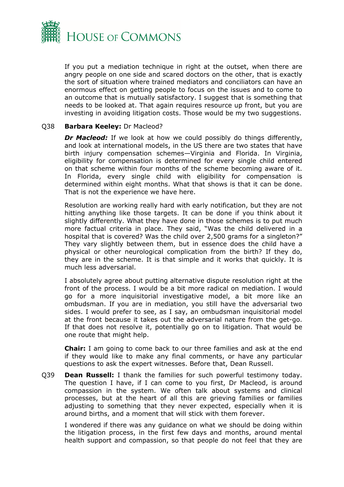

If you put a mediation technique in right at the outset, when there are angry people on one side and scared doctors on the other, that is exactly the sort of situation where trained mediators and conciliators can have an enormous effect on getting people to focus on the issues and to come to an outcome that is mutually satisfactory. I suggest that is something that needs to be looked at. That again requires resource up front, but you are investing in avoiding litigation costs. Those would be my two suggestions.

## Q38 **Barbara Keeley:** Dr Macleod?

*Dr Macleod:* If we look at how we could possibly do things differently, and look at international models, in the US there are two states that have birth injury compensation schemes—Virginia and Florida. In Virginia, eligibility for compensation is determined for every single child entered on that scheme within four months of the scheme becoming aware of it. In Florida, every single child with eligibility for compensation is determined within eight months. What that shows is that it can be done. That is not the experience we have here.

Resolution are working really hard with early notification, but they are not hitting anything like those targets. It can be done if you think about it slightly differently. What they have done in those schemes is to put much more factual criteria in place. They said, "Was the child delivered in a hospital that is covered? Was the child over 2,500 grams for a singleton?" They vary slightly between them, but in essence does the child have a physical or other neurological complication from the birth? If they do, they are in the scheme. It is that simple and it works that quickly. It is much less adversarial.

I absolutely agree about putting alternative dispute resolution right at the front of the process. I would be a bit more radical on mediation. I would go for a more inquisitorial investigative model, a bit more like an ombudsman. If you are in mediation, you still have the adversarial two sides. I would prefer to see, as I say, an ombudsman inquisitorial model at the front because it takes out the adversarial nature from the get-go. If that does not resolve it, potentially go on to litigation. That would be one route that might help.

**Chair:** I am going to come back to our three families and ask at the end if they would like to make any final comments, or have any particular questions to ask the expert witnesses. Before that, Dean Russell.

Q39 **Dean Russell:** I thank the families for such powerful testimony today. The question I have, if I can come to you first, Dr Macleod, is around compassion in the system. We often talk about systems and clinical processes, but at the heart of all this are grieving families or families adjusting to something that they never expected, especially when it is around births, and a moment that will stick with them forever.

I wondered if there was any guidance on what we should be doing within the litigation process, in the first few days and months, around mental health support and compassion, so that people do not feel that they are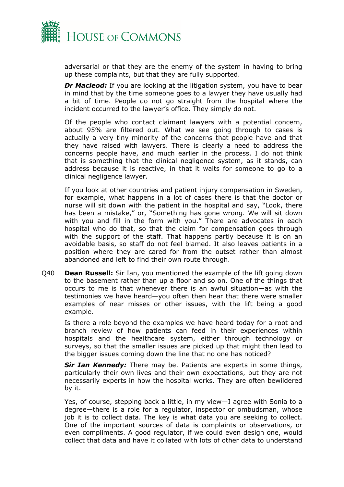

adversarial or that they are the enemy of the system in having to bring up these complaints, but that they are fully supported.

*Dr Macleod:* If you are looking at the litigation system, you have to bear in mind that by the time someone goes to a lawyer they have usually had a bit of time. People do not go straight from the hospital where the incident occurred to the lawyer's office. They simply do not.

Of the people who contact claimant lawyers with a potential concern, about 95% are filtered out. What we see going through to cases is actually a very tiny minority of the concerns that people have and that they have raised with lawyers. There is clearly a need to address the concerns people have, and much earlier in the process. I do not think that is something that the clinical negligence system, as it stands, can address because it is reactive, in that it waits for someone to go to a clinical negligence lawyer.

If you look at other countries and patient injury compensation in Sweden, for example, what happens in a lot of cases there is that the doctor or nurse will sit down with the patient in the hospital and say, "Look, there has been a mistake," or, "Something has gone wrong. We will sit down with you and fill in the form with you." There are advocates in each hospital who do that, so that the claim for compensation goes through with the support of the staff. That happens partly because it is on an avoidable basis, so staff do not feel blamed. It also leaves patients in a position where they are cared for from the outset rather than almost abandoned and left to find their own route through.

Q40 **Dean Russell:** Sir Ian, you mentioned the example of the lift going down to the basement rather than up a floor and so on. One of the things that occurs to me is that whenever there is an awful situation—as with the testimonies we have heard—you often then hear that there were smaller examples of near misses or other issues, with the lift being a good example.

Is there a role beyond the examples we have heard today for a root and branch review of how patients can feed in their experiences within hospitals and the healthcare system, either through technology or surveys, so that the smaller issues are picked up that might then lead to the bigger issues coming down the line that no one has noticed?

*Sir Ian Kennedy:* There may be. Patients are experts in some things, particularly their own lives and their own expectations, but they are not necessarily experts in how the hospital works. They are often bewildered by it.

Yes, of course, stepping back a little, in my view—I agree with Sonia to a degree—there is a role for a regulator, inspector or ombudsman, whose job it is to collect data. The key is what data you are seeking to collect. One of the important sources of data is complaints or observations, or even compliments. A good regulator, if we could even design one, would collect that data and have it collated with lots of other data to understand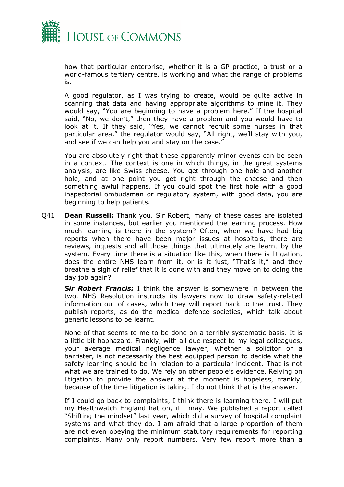

how that particular enterprise, whether it is a GP practice, a trust or a world-famous tertiary centre, is working and what the range of problems is.

A good regulator, as I was trying to create, would be quite active in scanning that data and having appropriate algorithms to mine it. They would say, "You are beginning to have a problem here." If the hospital said, "No, we don't," then they have a problem and you would have to look at it. If they said, "Yes, we cannot recruit some nurses in that particular area," the regulator would say, "All right, we'll stay with you, and see if we can help you and stay on the case."

You are absolutely right that these apparently minor events can be seen in a context. The context is one in which things, in the great systems analysis, are like Swiss cheese. You get through one hole and another hole, and at one point you get right through the cheese and then something awful happens. If you could spot the first hole with a good inspectorial ombudsman or regulatory system, with good data, you are beginning to help patients.

Q41 **Dean Russell:** Thank you. Sir Robert, many of these cases are isolated in some instances, but earlier you mentioned the learning process. How much learning is there in the system? Often, when we have had big reports when there have been major issues at hospitals, there are reviews, inquests and all those things that ultimately are learnt by the system. Every time there is a situation like this, when there is litigation, does the entire NHS learn from it, or is it just, "That's it," and they breathe a sigh of relief that it is done with and they move on to doing the day job again?

*Sir Robert Francis:* I think the answer is somewhere in between the two. NHS Resolution instructs its lawyers now to draw safety-related information out of cases, which they will report back to the trust. They publish reports, as do the medical defence societies, which talk about generic lessons to be learnt.

None of that seems to me to be done on a terribly systematic basis. It is a little bit haphazard. Frankly, with all due respect to my legal colleagues, your average medical negligence lawyer, whether a solicitor or a barrister, is not necessarily the best equipped person to decide what the safety learning should be in relation to a particular incident. That is not what we are trained to do. We rely on other people's evidence. Relying on litigation to provide the answer at the moment is hopeless, frankly, because of the time litigation is taking. I do not think that is the answer.

If I could go back to complaints, I think there is learning there. I will put my Healthwatch England hat on, if I may. We published a report called "Shifting the mindset" last year, which did a survey of hospital complaint systems and what they do. I am afraid that a large proportion of them are not even obeying the minimum statutory requirements for reporting complaints. Many only report numbers. Very few report more than a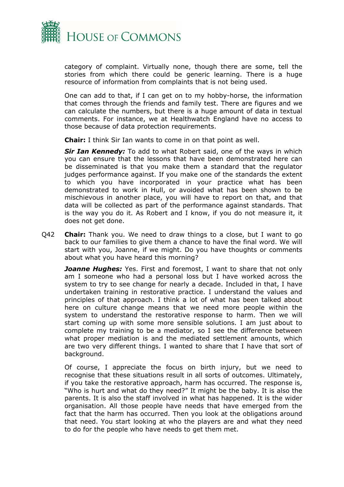

category of complaint. Virtually none, though there are some, tell the stories from which there could be generic learning. There is a huge resource of information from complaints that is not being used.

One can add to that, if I can get on to my hobby-horse, the information that comes through the friends and family test. There are figures and we can calculate the numbers, but there is a huge amount of data in textual comments. For instance, we at Healthwatch England have no access to those because of data protection requirements.

**Chair:** I think Sir Ian wants to come in on that point as well.

*Sir Ian Kennedy:* To add to what Robert said, one of the ways in which you can ensure that the lessons that have been demonstrated here can be disseminated is that you make them a standard that the regulator judges performance against. If you make one of the standards the extent to which you have incorporated in your practice what has been demonstrated to work in Hull, or avoided what has been shown to be mischievous in another place, you will have to report on that, and that data will be collected as part of the performance against standards. That is the way you do it. As Robert and I know, if you do not measure it, it does not get done.

Q42 **Chair:** Thank you. We need to draw things to a close, but I want to go back to our families to give them a chance to have the final word. We will start with you, Joanne, if we might. Do you have thoughts or comments about what you have heard this morning?

**Joanne Hughes:** Yes. First and foremost, I want to share that not only am I someone who had a personal loss but I have worked across the system to try to see change for nearly a decade. Included in that, I have undertaken training in restorative practice. I understand the values and principles of that approach. I think a lot of what has been talked about here on culture change means that we need more people within the system to understand the restorative response to harm. Then we will start coming up with some more sensible solutions. I am just about to complete my training to be a mediator, so I see the difference between what proper mediation is and the mediated settlement amounts, which are two very different things. I wanted to share that I have that sort of background.

Of course, I appreciate the focus on birth injury, but we need to recognise that these situations result in all sorts of outcomes. Ultimately, if you take the restorative approach, harm has occurred. The response is, "Who is hurt and what do they need?" It might be the baby. It is also the parents. It is also the staff involved in what has happened. It is the wider organisation. All those people have needs that have emerged from the fact that the harm has occurred. Then you look at the obligations around that need. You start looking at who the players are and what they need to do for the people who have needs to get them met.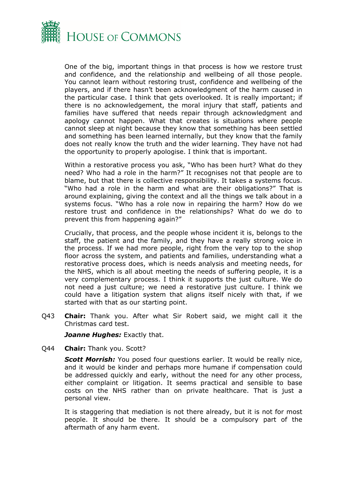

One of the big, important things in that process is how we restore trust and confidence, and the relationship and wellbeing of all those people. You cannot learn without restoring trust, confidence and wellbeing of the players, and if there hasn't been acknowledgment of the harm caused in the particular case. I think that gets overlooked. It is really important; if there is no acknowledgement, the moral injury that staff, patients and families have suffered that needs repair through acknowledgment and apology cannot happen. What that creates is situations where people cannot sleep at night because they know that something has been settled and something has been learned internally, but they know that the family does not really know the truth and the wider learning. They have not had the opportunity to properly apologise. I think that is important.

Within a restorative process you ask, "Who has been hurt? What do they need? Who had a role in the harm?" It recognises not that people are to blame, but that there is collective responsibility. It takes a systems focus. "Who had a role in the harm and what are their obligations?" That is around explaining, giving the context and all the things we talk about in a systems focus. "Who has a role now in repairing the harm? How do we restore trust and confidence in the relationships? What do we do to prevent this from happening again?"

Crucially, that process, and the people whose incident it is, belongs to the staff, the patient and the family, and they have a really strong voice in the process. If we had more people, right from the very top to the shop floor across the system, and patients and families, understanding what a restorative process does, which is needs analysis and meeting needs, for the NHS, which is all about meeting the needs of suffering people, it is a very complementary process. I think it supports the just culture. We do not need a just culture; we need a restorative just culture. I think we could have a litigation system that aligns itself nicely with that, if we started with that as our starting point.

Q43 **Chair:** Thank you. After what Sir Robert said, we might call it the Christmas card test.

**Joanne Hughes:** Exactly that.

Q44 **Chair:** Thank you. Scott?

*Scott Morrish:* You posed four questions earlier. It would be really nice, and it would be kinder and perhaps more humane if compensation could be addressed quickly and early, without the need for any other process, either complaint or litigation. It seems practical and sensible to base costs on the NHS rather than on private healthcare. That is just a personal view.

It is staggering that mediation is not there already, but it is not for most people. It should be there. It should be a compulsory part of the aftermath of any harm event.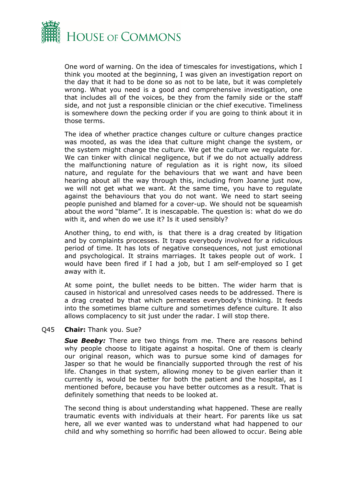

One word of warning. On the idea of timescales for investigations, which I think you mooted at the beginning, I was given an investigation report on the day that it had to be done so as not to be late, but it was completely wrong. What you need is a good and comprehensive investigation, one that includes all of the voices, be they from the family side or the staff side, and not just a responsible clinician or the chief executive. Timeliness is somewhere down the pecking order if you are going to think about it in those terms.

The idea of whether practice changes culture or culture changes practice was mooted, as was the idea that culture might change the system, or the system might change the culture. We get the culture we regulate for. We can tinker with clinical negligence, but if we do not actually address the malfunctioning nature of regulation as it is right now, its siloed nature, and regulate for the behaviours that we want and have been hearing about all the way through this, including from Joanne just now, we will not get what we want. At the same time, you have to regulate against the behaviours that you do not want. We need to start seeing people punished and blamed for a cover-up. We should not be squeamish about the word "blame". It is inescapable. The question is: what do we do with it, and when do we use it? Is it used sensibly?

Another thing, to end with, is that there is a drag created by litigation and by complaints processes. It traps everybody involved for a ridiculous period of time. It has lots of negative consequences, not just emotional and psychological. It strains marriages. It takes people out of work. I would have been fired if I had a job, but I am self-employed so I get away with it.

At some point, the bullet needs to be bitten. The wider harm that is caused in historical and unresolved cases needs to be addressed. There is a drag created by that which permeates everybody's thinking. It feeds into the sometimes blame culture and sometimes defence culture. It also allows complacency to sit just under the radar. I will stop there.

## Q45 **Chair:** Thank you. Sue?

**Sue Beeby:** There are two things from me. There are reasons behind why people choose to litigate against a hospital. One of them is clearly our original reason, which was to pursue some kind of damages for Jasper so that he would be financially supported through the rest of his life. Changes in that system, allowing money to be given earlier than it currently is, would be better for both the patient and the hospital, as I mentioned before, because you have better outcomes as a result. That is definitely something that needs to be looked at.

The second thing is about understanding what happened. These are really traumatic events with individuals at their heart. For parents like us sat here, all we ever wanted was to understand what had happened to our child and why something so horrific had been allowed to occur. Being able